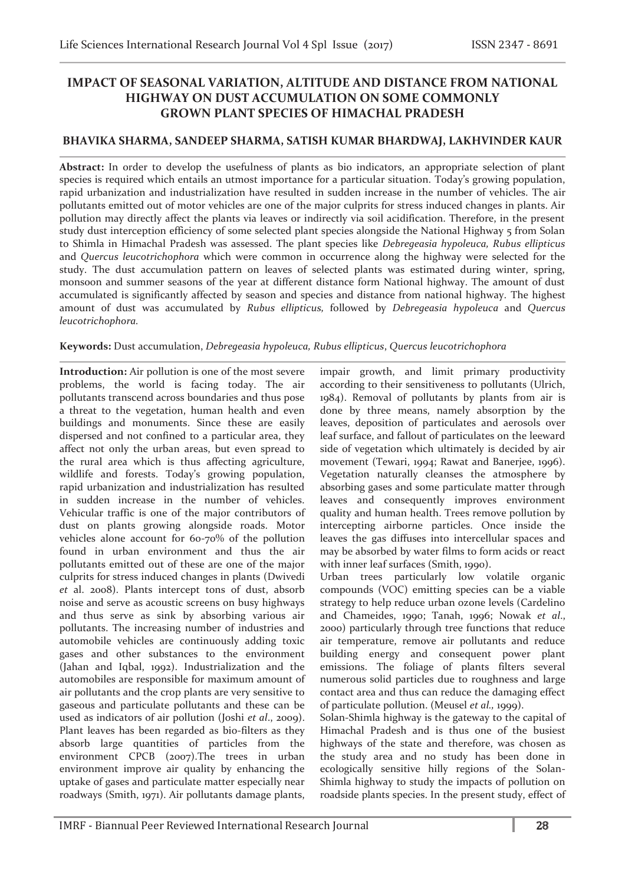# **IMPACT OF SEASONAL VARIATION, ALTITUDE AND DISTANCE FROM NATIONAL HIGHWAY ON DUST ACCUMULATION ON SOME COMMONLY GROWN PLANT SPECIES OF HIMACHAL PRADESH**

## **BHAVIKA SHARMA, SANDEEP SHARMA, SATISH KUMAR BHARDWAJ, LAKHVINDER KAUR**

**Abstract:** In order to develop the usefulness of plants as bio indicators, an appropriate selection of plant species is required which entails an utmost importance for a particular situation. Today's growing population, rapid urbanization and industrialization have resulted in sudden increase in the number of vehicles. The air pollutants emitted out of motor vehicles are one of the major culprits for stress induced changes in plants. Air pollution may directly affect the plants via leaves or indirectly via soil acidification. Therefore, in the present study dust interception efficiency of some selected plant species alongside the National Highway 5 from Solan to Shimla in Himachal Pradesh was assessed. The plant species like *Debregeasia hypoleuca, Rubus ellipticus* and *Quercus leucotrichophora* which were common in occurrence along the highway were selected for the study. The dust accumulation pattern on leaves of selected plants was estimated during winter, spring, monsoon and summer seasons of the year at different distance form National highway. The amount of dust accumulated is significantly affected by season and species and distance from national highway. The highest amount of dust was accumulated by *Rubus ellipticus,* followed by *Debregeasia hypoleuca* and *Quercus leucotrichophora.* 

### **Keywords:** Dust accumulation, *Debregeasia hypoleuca, Rubus ellipticus*, *Quercus leucotrichophora*

**Introduction:** Air pollution is one of the most severe problems, the world is facing today. The air pollutants transcend across boundaries and thus pose a threat to the vegetation, human health and even buildings and monuments. Since these are easily dispersed and not confined to a particular area, they affect not only the urban areas, but even spread to the rural area which is thus affecting agriculture, wildlife and forests. Today's growing population, rapid urbanization and industrialization has resulted in sudden increase in the number of vehicles. Vehicular traffic is one of the major contributors of dust on plants growing alongside roads. Motor vehicles alone account for 60-70% of the pollution found in urban environment and thus the air pollutants emitted out of these are one of the major culprits for stress induced changes in plants (Dwivedi *et* al. 2008). Plants intercept tons of dust, absorb noise and serve as acoustic screens on busy highways and thus serve as sink by absorbing various air pollutants. The increasing number of industries and automobile vehicles are continuously adding toxic gases and other substances to the environment (Jahan and Iqbal, 1992). Industrialization and the automobiles are responsible for maximum amount of air pollutants and the crop plants are very sensitive to gaseous and particulate pollutants and these can be used as indicators of air pollution (Joshi *et al*., 2009). Plant leaves has been regarded as bio-filters as they absorb large quantities of particles from the environment CPCB (2007).The trees in urban environment improve air quality by enhancing the uptake of gases and particulate matter especially near roadways (Smith, 1971). Air pollutants damage plants,

impair growth, and limit primary productivity according to their sensitiveness to pollutants (Ulrich, 1984). Removal of pollutants by plants from air is done by three means, namely absorption by the leaves, deposition of particulates and aerosols over leaf surface, and fallout of particulates on the leeward side of vegetation which ultimately is decided by air movement (Tewari, 1994; Rawat and Banerjee, 1996). Vegetation naturally cleanses the atmosphere by absorbing gases and some particulate matter through leaves and consequently improves environment quality and human health. Trees remove pollution by intercepting airborne particles. Once inside the leaves the gas diffuses into intercellular spaces and may be absorbed by water films to form acids or react with inner leaf surfaces (Smith, 1990).

Urban trees particularly low volatile organic compounds (VOC) emitting species can be a viable strategy to help reduce urban ozone levels (Cardelino and Chameides, 1990; Tanah, 1996; Nowak *et al*., 2000) particularly through tree functions that reduce air temperature, remove air pollutants and reduce building energy and consequent power plant emissions. The foliage of plants filters several numerous solid particles due to roughness and large contact area and thus can reduce the damaging effect of particulate pollution. (Meusel *et al.,* 1999).

Solan-Shimla highway is the gateway to the capital of Himachal Pradesh and is thus one of the busiest highways of the state and therefore, was chosen as the study area and no study has been done in ecologically sensitive hilly regions of the Solan-Shimla highway to study the impacts of pollution on roadside plants species. In the present study, effect of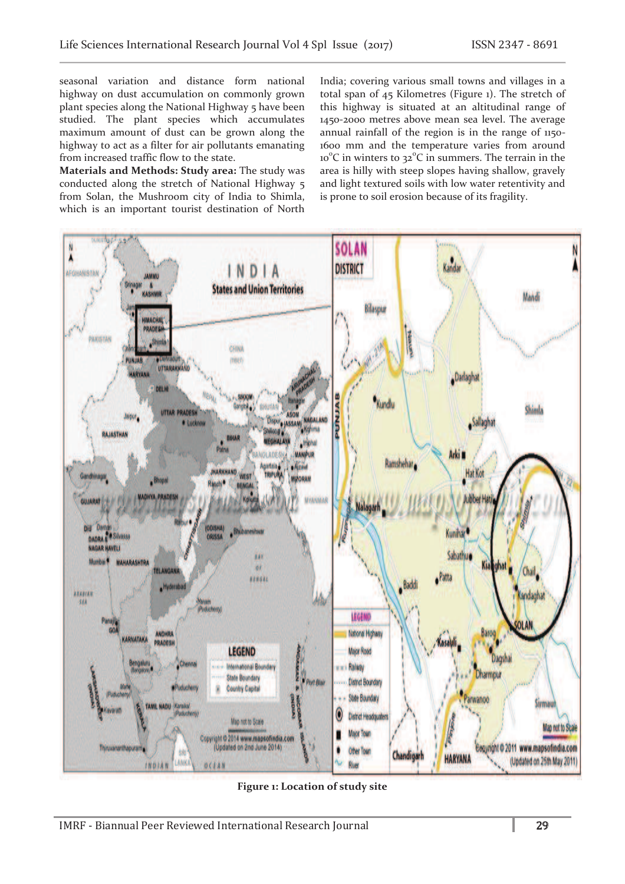seasonal variation and distance form national highway on dust accumulation on commonly grown plant species along the National Highway 5 have been studied. The plant species which accumulates maximum amount of dust can be grown along the highway to act as a filter for air pollutants emanating from increased traffic flow to the state.

**Materials and Methods: Study area:** The study was conducted along the stretch of National Highway 5 from Solan, the Mushroom city of India to Shimla, which is an important tourist destination of North

India; covering various small towns and villages in a total span of 45 Kilometres (Figure 1). The stretch of this highway is situated at an altitudinal range of 1450-2000 metres above mean sea level. The average annual rainfall of the region is in the range of 1150-1600 mm and the temperature varies from around 10<sup>°</sup>C in winters to 32<sup>°</sup>C in summers. The terrain in the area is hilly with steep slopes having shallow, gravely and light textured soils with low water retentivity and is prone to soil erosion because of its fragility.



**Figure 1: Location of study site**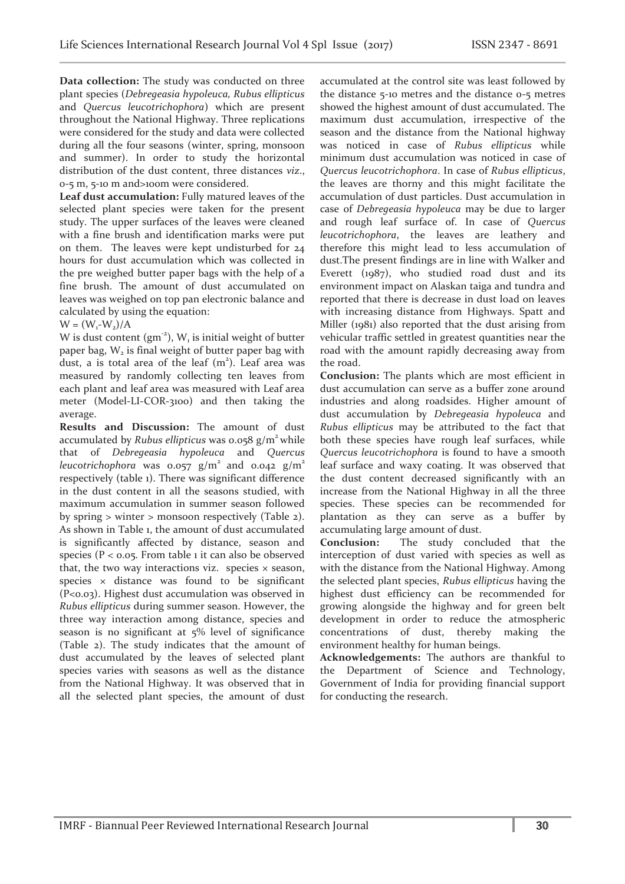**Data collection:** The study was conducted on three plant species (*Debregeasia hypoleuca, Rubus ellipticus*  and *Quercus leucotrichophora*) which are present throughout the National Highway. Three replications were considered for the study and data were collected during all the four seasons (winter, spring, monsoon and summer). In order to study the horizontal distribution of the dust content, three distances *viz*., 0-5 m, 5-10 m and>100m were considered.

**Leaf dust accumulation:** Fully matured leaves of the selected plant species were taken for the present study. The upper surfaces of the leaves were cleaned with a fine brush and identification marks were put on them. The leaves were kept undisturbed for 24 hours for dust accumulation which was collected in the pre weighed butter paper bags with the help of a fine brush. The amount of dust accumulated on leaves was weighed on top pan electronic balance and calculated by using the equation:

 $W = (W_1-W_2)/A$ 

W is dust content  $(gm^{-2})$ , W<sub>1</sub> is initial weight of butter paper bag,  $W<sub>2</sub>$  is final weight of butter paper bag with dust, a is total area of the leaf  $(m<sup>2</sup>)$ . Leaf area was measured by randomly collecting ten leaves from each plant and leaf area was measured with Leaf area meter (Model-LI-COR-3100) and then taking the average.

**Results and Discussion:** The amount of dust accumulated by *Rubus ellipticus* was 0.058 g/m<sup>2</sup> while that of *Debregeasia hypoleuca* and *Quercus leucotrichophora* was 0.057  $g/m^2$  and 0.042  $g/m^2$ respectively (table 1). There was significant difference in the dust content in all the seasons studied, with maximum accumulation in summer season followed by spring > winter > monsoon respectively (Table 2). As shown in Table 1, the amount of dust accumulated is significantly affected by distance, season and species ( $P < 0.05$ . From table 1 it can also be observed that, the two way interactions viz. species  $\times$  season, species  $\times$  distance was found to be significant (P<0.03). Highest dust accumulation was observed in *Rubus ellipticus* during summer season. However, the three way interaction among distance, species and season is no significant at 5% level of significance (Table 2). The study indicates that the amount of dust accumulated by the leaves of selected plant species varies with seasons as well as the distance from the National Highway. It was observed that in all the selected plant species, the amount of dust

accumulated at the control site was least followed by the distance 5-10 metres and the distance 0-5 metres showed the highest amount of dust accumulated. The maximum dust accumulation, irrespective of the season and the distance from the National highway was noticed in case of *Rubus ellipticus* while minimum dust accumulation was noticed in case of *Quercus leucotrichophora*. In case of *Rubus ellipticus*, the leaves are thorny and this might facilitate the accumulation of dust particles. Dust accumulation in case of *Debregeasia hypoleuca* may be due to larger and rough leaf surface of. In case of *Quercus leucotrichophora*, the leaves are leathery and therefore this might lead to less accumulation of dust.The present findings are in line with Walker and Everett (1987), who studied road dust and its environment impact on Alaskan taiga and tundra and reported that there is decrease in dust load on leaves with increasing distance from Highways. Spatt and Miller (1981) also reported that the dust arising from vehicular traffic settled in greatest quantities near the road with the amount rapidly decreasing away from the road.

**Conclusion:** The plants which are most efficient in dust accumulation can serve as a buffer zone around industries and along roadsides. Higher amount of dust accumulation by *Debregeasia hypoleuca* and *Rubus ellipticus* may be attributed to the fact that both these species have rough leaf surfaces, while *Quercus leucotrichophora* is found to have a smooth leaf surface and waxy coating. It was observed that the dust content decreased significantly with an increase from the National Highway in all the three species. These species can be recommended for plantation as they can serve as a buffer by accumulating large amount of dust.

**Conclusion:** The study concluded that the interception of dust varied with species as well as with the distance from the National Highway. Among the selected plant species, *Rubus ellipticus* having the highest dust efficiency can be recommended for growing alongside the highway and for green belt development in order to reduce the atmospheric concentrations of dust, thereby making the environment healthy for human beings.

**Acknowledgements:** The authors are thankful to the Department of Science and Technology, Government of India for providing financial support for conducting the research.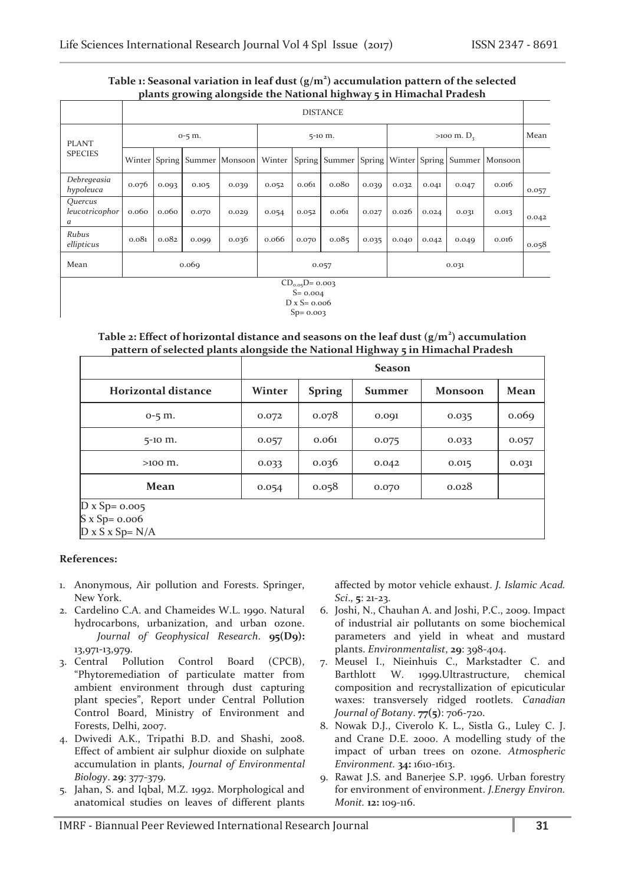### **Table 1: Seasonal variation in leaf dust (g/m<sup>2</sup> ) accumulation pattern of the selected plants growing alongside the National highway 5 in Himachal Pradesh**

|                                                                           |                 |       |       | $P^{\text{a}}$ and $P^{\text{a}}$ and $P^{\text{a}}$ and $P^{\text{a}}$ |         |       | - – – – – – – – –                                            |       |                          |       |       |         |       |
|---------------------------------------------------------------------------|-----------------|-------|-------|-------------------------------------------------------------------------|---------|-------|--------------------------------------------------------------|-------|--------------------------|-------|-------|---------|-------|
|                                                                           | <b>DISTANCE</b> |       |       |                                                                         |         |       |                                                              |       |                          |       |       |         |       |
| <b>PLANT</b><br><b>SPECIES</b>                                            | $0-5$ m.        |       |       |                                                                         | 5-10 m. |       |                                                              |       | $>100 \text{ m}$ . $D_3$ |       |       |         | Mean  |
|                                                                           |                 |       |       | Winter Spring Summer Monsoon                                            |         |       | Winter   Spring   Summer   Spring   Winter   Spring   Summer |       |                          |       |       | Monsoon |       |
| Debregeasia<br>hypoleuca                                                  | 0.076           | 0.093 | 0.105 | 0.039                                                                   | 0.052   | 0.061 | 0.08 <sub>0</sub>                                            | 0.039 | 0.032                    | 0.041 | 0.047 | 0.016   | 0.057 |
| Quercus<br>leucotricophor<br>a                                            | 0.060           | 0.060 | 0.070 | 0.029                                                                   | 0.054   | 0.052 | 0.061                                                        | 0.027 | 0.026                    | 0.024 | 0.031 | 0.013   | 0.042 |
| Rubus<br>ellipticus                                                       | 0.081           | 0.082 | 0.099 | 0.036                                                                   | 0.066   | 0.070 | 0.085                                                        | 0.035 | 0.040                    | 0.042 | 0.049 | 0.016   | 0.058 |
| Mean                                                                      | 0.069           |       |       |                                                                         | 0.057   |       |                                                              |       | 0.031                    |       |       |         |       |
| $CD_{0.05}D = 0.003$<br>$S = 0.004$<br>$D x S = 0.006$<br>$S_{D} = 0.003$ |                 |       |       |                                                                         |         |       |                                                              |       |                          |       |       |         |       |

**Table 2: Effect of horizontal distance and seasons on the leaf dust (g/m<sup>2</sup> ) accumulation pattern of selected plants alongside the National Highway 5 in Himachal Pradesh** 

|                                                                 | <b>Season</b> |               |               |                |       |  |  |  |  |
|-----------------------------------------------------------------|---------------|---------------|---------------|----------------|-------|--|--|--|--|
| <b>Horizontal distance</b>                                      | Winter        | <b>Spring</b> | <b>Summer</b> | <b>Monsoon</b> | Mean  |  |  |  |  |
| $0-5$ m.                                                        | 0.072         | 0.078         | 0.091         | 0.035          | 0.069 |  |  |  |  |
| $5-10$ m.                                                       | 0.057         | 0.061         | 0.075         | 0.033          | 0.057 |  |  |  |  |
| $>100$ m.                                                       | 0.033         | 0.036         | 0.042         | 0.015          | 0.031 |  |  |  |  |
| Mean                                                            | 0.054         | 0.058         | 0.070         | 0.028          |       |  |  |  |  |
| $D x Sp = 0.005$<br>$S \times Sp = 0.006$<br>$D x S x Sp = N/A$ |               |               |               |                |       |  |  |  |  |

#### **References:**

- 1. Anonymous, Air pollution and Forests. Springer, New York.
- 2. Cardelino C.A. and Chameides W.L. 1990. Natural hydrocarbons, urbanization, and urban ozone. *Journal of Geophysical Research*. **95(D9):** 13,971-13,979.
- 3. Central Pollution Control Board (CPCB), "Phytoremediation of particulate matter from ambient environment through dust capturing plant species", Report under Central Pollution Control Board, Ministry of Environment and Forests, Delhi, 2007.
- 4. Dwivedi A.K., Tripathi B.D. and Shashi, 2008. Effect of ambient air sulphur dioxide on sulphate accumulation in plants, *Journal of Environmental Biology*. **29**: 377-379.
- 5. Jahan, S. and Iqbal, M.Z. 1992. Morphological and anatomical studies on leaves of different plants

affected by motor vehicle exhaust. *J. Islamic Acad. Sci*., **5**: 21-23.

- 6. Joshi, N., Chauhan A. and Joshi, P.C., 2009. Impact of industrial air pollutants on some biochemical parameters and yield in wheat and mustard plants. *Environmentalist*, **29**: 398-404.
- 7. Meusel I., Nieinhuis C., Markstadter C. and Barthlott W. 1999.Ultrastructure, chemical composition and recrystallization of epicuticular waxes: transversely ridged rootlets. *Canadian Journal of Botany*. **77(5)**: 706-720.
- 8. Nowak D.J., Civerolo K. L., Sistla G., Luley C. J. and Crane D.E. 2000. A modelling study of the impact of urban trees on ozone. *Atmospheric Environment.* **34:** 1610-1613.
- 9. Rawat J.S. and Banerjee S.P. 1996. Urban forestry for environment of environment. *J.Energy Environ. Monit.* **12:** 109-116.